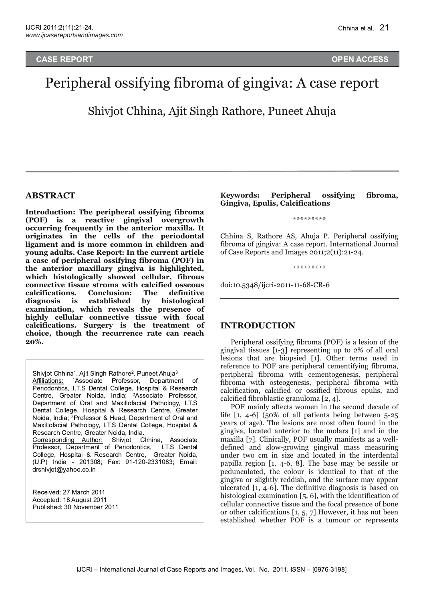#### **CASE RE PORT CONSTRUCTION CONTINUES IN A SECOND CONTINUES OF EXAMPLE AND LOCAL CONTINUES.**

# **N ACCESS**

# Peripheral ossifying fibroma of gingiva: A case report

Shivjot Chhina, Ajit Singh Rathore, Puneet Ahuja

#### **ABSTRACT**

**Introduction: The peripheral ossifying fibroma (POF) is a reactive gingival overgrowth occurring frequently in the anterior maxilla. It originates in the cells of the periodontal ligament and is more common in children and young adults. Case Report: In the current article a case of peripheral ossifying fibroma (POF) in the anterior maxillary gingiva is highlighted, which histologically showed cellular, fibrous connective tissue stroma with calcified osseous calcifications. Conclusion: The definitive diagnosis is established by histological examination, which reveals the presence of highly cellular connective tissue with focal calcifications. Surgery is the treatment of choice, though the recurrence rate can reach 20%.**

Shivjot Chhina<sup>1</sup>, Ajit Singh Rathore<sup>2</sup>, Puneet Ahuja<sup>3</sup> Affiliations: <sup>1</sup>Associate Professor, Department of Periodontics, I.T.S Dental College, Hospital & Research Centre, Greater Noida, India; <sup>2</sup>Associate Professor, Department of Oral and Maxillofacial Pathology, I.T.S Dental College, Hospital & Research Centre, Greater Noida, India; <sup>3</sup>Professor & Head, Department of Oral and Maxillofacial Pathology, I.T.S Dental College, Hospital & Research Centre, Greater Noida, India. Corresponding Author: Shivjot Chhina, Associate Professor, Department of Periodontics, I.T.S Dental College, Hospital & Research Centre, Greater Noida, (U.P) India - 201308; Fax: 91-120-2331083; Email: drshivjot@yahoo.co.in

Received: 27 March 2011 Accepted: 18 August 2011 Published: 30 November 2011 **Keywords: Peripheral ossifying fibroma, Gingiva, Epulis, Calcifications**

\*\*\*\*\*\*\*\*\*

Chhina S, Rathore AS, Ahuja P. Peripheral ossifying fibroma of gingiva: A case report. International Journal of Case Reports and Images  $2011;2(11):21-24$ .

\*\*\*\*\*\*\*\*\*

doi:10.5348/ijcri-2011-11-68-CR-6

#### **INTRODUCTION**

Peripheral ossifying fibroma (POF) is a lesion of the gingival tissues  $[1-3]$  representing up to 2% of all oral lesions that are biopsied [1]. Other terms used in reference to POF are peripheral cementifying fibroma, peripheral fibroma with cementogenesis, peripheral fibroma with osteogenesis, peripheral fibroma with calcification, calcified or ossified fibrous epulis, and calcified fibroblastic granuloma [2, 4].

POF mainly affects women in the second decade of life  $[1, 4-6]$  (50% of all patients being between 5-25 years of age). The lesions are most often found in the gingiva, located anterior to the molars [1] and in the maxilla [7]. Clinically, POF usually manifests as a welldefined and slow-growing gingival mass measuring under two cm in size and located in the interdental papilla region  $[1, 4-6, 8]$ . The base may be sessile or pedunculated, the colour is identical to that of the gingiva or slightly reddish, and the surface may appear ulcerated  $\lceil 1, 4-6 \rceil$ . The definitive diagnosis is based on histological examination [5, 6], with the identification of cellular connective tissue and the focal presence of bone or other calcifications [1, 5, 7].However, it has not been established whether POF is a tumour or represents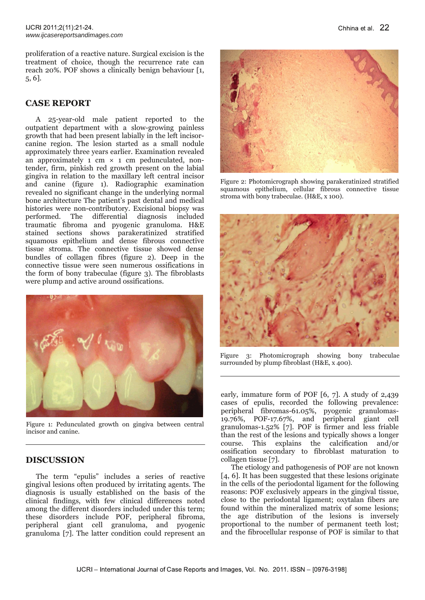proliferation of a reactive nature. Surgical excision is the treatment of choice, though the recurrence rate can reach 20%. POF shows a clinically benign behaviour [1, 5, 6].

# **CASE REPORT**

A 25-year-old male patient reported to the outpatient department with a slow-growing painless growth that had been present labially in the left incisorcanine region. The lesion started as a small nodule approximately three years earlier. Examination revealed an approximately 1 cm  $\times$  1 cm pedunculated, nontender, firm, pinkish red growth present on the labial gingiva in relation to the maxillary left central incisor and canine (figure 1). Radiographic examination revealed no significant change in the underlying normal bone architecture The patient's past dental and medical histories were non-contributory. Excisional biopsy was performed. The differential diagnosis included traumatic fibroma and pyogenic granuloma. H&E stained sections shows parakeratinized stratified squamous epithelium and dense fibrous connective tissue stroma. The connective tissue showed dense bundles of collagen fibres (figure 2). Deep in the connective tissue were seen numerous ossifications in the form of bony trabeculae (figure 3). The fibroblasts were plump and active around ossifications.



Figure 1: Pedunculated growth on gingiva between central incisor and canine.

# **DISCUSSION**

The term "epulis" includes a series of reactive gingival lesions often produced by irritating agents. The diagnosis is usually established on the basis of the clinical findings, with few clinical differences noted among the different disorders included under this term; these disorders include POF, peripheral fibroma, peripheral giant cell granuloma, and pyogenic granuloma [7]. The latter condition could represent an



Figure 2: Photomicrograph showing parakeratinized stratified squamous epithelium, cellular fibrous connective tissue stroma with bony trabeculae. (H&E, x 100).



Figure 3: Photomicrograph showing bony trabeculae surrounded by plump fibroblast (H&E, x 400).

early, immature form of POF [6, 7]. A study of 2,439 cases of epulis, recorded the following prevalence: peripheral fibromas-61.05%, pyogenic granulomas-19.76%, POF17.67%, and peripheral giant cell granulomas-1.52%  $[7]$ . POF is firmer and less friable than the rest of the lesions and typically shows a longer course. This explains the calcification and/or ossification secondary to fibroblast maturation to collagen tissue [7].

The etiology and pathogenesis of POF are not known [4, 6]. It has been suggested that these lesions originate in the cells of the periodontal ligament for the following reasons: POF exclusively appears in the gingival tissue, close to the periodontal ligament; oxytalan fibers are found within the mineralized matrix of some lesions; the age distribution of the lesions is inversely proportional to the number of permanent teeth lost; and the fibrocellular response of POF is similar to that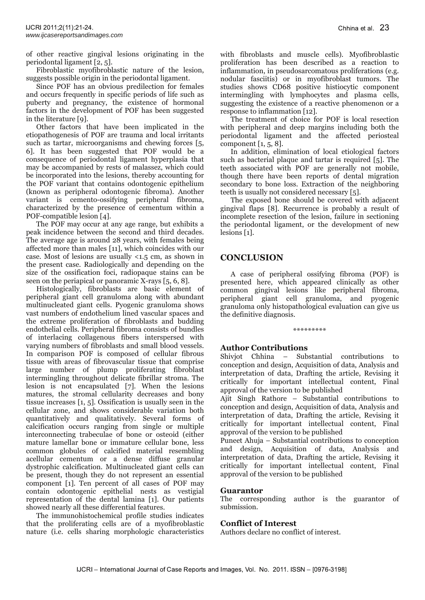of other reactive gingival lesions originating in the periodontal ligament [2, 5].

Fibroblastic myofibroblastic nature of the lesion, suggests possible origin in the periodontal ligament.

Since POF has an obvious predilection for females and occurs frequently in specific periods of life such as puberty and pregnancy, the existence of hormonal factors in the development of POF has been suggested in the literature [9].

Other factors that have been implicated in the etiopathogenesis of POF are trauma and local irritants such as tartar, microorganisms and chewing forces [5, 6]. It has been suggested that POF would be a consequence of periodontal ligament hyperplasia that may be accompanied by rests of malassez, which could be incorporated into the lesions, thereby accounting for the POF variant that contains odontogenic epithelium (known as peripheral odontogenic fibroma). Another variant is cemento-ossifying peripheral fibroma, characterized by the presence of cementum within a POF-compatible lesion [4].

The POF may occur at any age range, but exhibits a peak incidence between the second and third decades. The average age is around 28 years, with females being affected more than males [11], which coincides with our case. Most of lesions are usually <1.5 cm, as shown in the present case. Radiologically and depending on the size of the ossification foci, radiopaque stains can be seen on the periapical or panoramic X-rays  $[5, 6, 8]$ .

Histologically, fibroblasts are basic element of peripheral giant cell granuloma along with abundant multinucleated giant cells. Pyogenic granuloma shows vast numbers of endothelium lined vascular spaces and the extreme proliferation of fibroblasts and budding endothelial cells. Peripheral fibroma consists of bundles of interlacing collagenous fibers interspersed with varying numbers of fibroblasts and small blood vessels. In comparison POF is composed of cellular fibrous tissue with areas of fibrovascular tissue that comprise large number of plump proliferating fibroblast intermingling throughout delicate fibrillar stroma. The lesion is not encapsulated [7]. When the lesions matures, the stromal cellularity decreases and bony tissue increases [1, 5]. Ossification is usually seen in the cellular zone, and shows considerable variation both quantitatively and qualitatively. Several forms of calcification occurs ranging from single or multiple interconnecting trabeculae of bone or osteoid (either mature lamellar bone or immature cellular bone, less common globules of calcified material resembling acellular cementum or a dense diffuse granular dystrophic calcification. Multinucleated giant cells can be present, though they do not represent an essential component [1]. Ten percent of all cases of POF may contain odontogenic epithelial nests as vestigial representation of the dental lamina [1]. Our patients showed nearly all these differential features.

The immunohistochemical profile studies indicates that the proliferating cells are of a myofibroblastic nature (i.e. cells sharing morphologic characteristics

with fibroblasts and muscle cells). Myofibroblastic proliferation has been described as a reaction to inflammation, in pseudosarcomatous proliferations (e.g. nodular fasciitis) or in myofibroblast tumors. The studies shows CD68 positive histiocytic component intermingling with lymphocytes and plasma cells, suggesting the existence of a reactive phenomenon or a response to inflammation [12].

The treatment of choice for POF is local resection with peripheral and deep margins including both the periodontal ligament and the affected periosteal component  $[1, 5, 8]$ .

In addition, elimination of local etiological factors such as bacterial plaque and tartar is required [5]. The teeth associated with POF are generally not mobile, though there have been reports of dental migration secondary to bone loss. Extraction of the neighboring teeth is usually not considered necessary [5].

The exposed bone should be covered with adjacent gingival flaps [8]. Recurrence is probably a result of incomplete resection of the lesion, failure in sectioning the periodontal ligament, or the development of new lesions [1].

# **CONCLUSION**

A case of peripheral ossifying fibroma (POF) is presented here, which appeared clinically as other common gingival lesions like peripheral fibroma, peripheral giant cell granuloma, and pyogenic granuloma only histopathological evaluation can give us the definitive diagnosis.

#### \*\*\*\*\*\*\*\*\*

#### **Author Contributions**

Shivjot Chhina – Substantial contributions to conception and design, Acquisition of data, Analysis and interpretation of data, Drafting the article, Revising it critically for important intellectual content, Final approval of the version to be published

Ajit Singh Rathore – Substantial contributions to conception and design, Acquisition of data, Analysis and interpretation of data, Drafting the article, Revising it critically for important intellectual content, Final approval of the version to be published

Puneet Ahuja – Substantial contributions to conception and design, Acquisition of data, Analysis and interpretation of data, Drafting the article, Revising it critically for important intellectual content, Final approval of the version to be published

#### **Guarantor**

The corresponding author is the guarantor of submission.

## **Conflict of Interest**

Authors declare no conflict of interest.